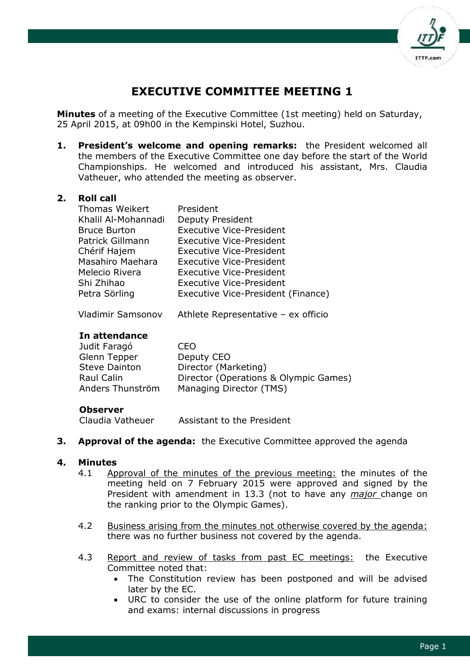

# **EXECUTIVE COMMITTEE MEETING 1**

**Minutes** of a meeting of the Executive Committee (1st meeting) held on Saturday, 25 April 2015, at 09h00 in the Kempinski Hotel, Suzhou.

**1. President's welcome and opening remarks:** the President welcomed all the members of the Executive Committee one day before the start of the World Championships. He welcomed and introduced his assistant, Mrs. Claudia Vatheuer, who attended the meeting as observer.

#### **2. Roll call**

| President                          |
|------------------------------------|
| <b>Deputy President</b>            |
| <b>Executive Vice-President</b>    |
| <b>Executive Vice-President</b>    |
| <b>Executive Vice-President</b>    |
| <b>Executive Vice-President</b>    |
| <b>Executive Vice-President</b>    |
| <b>Executive Vice-President</b>    |
| Executive Vice-President (Finance) |
|                                    |

Vladimir Samsonov Athlete Representative – ex officio

#### **In attendance**

| Judit Faragó         | CEO.                                  |
|----------------------|---------------------------------------|
| Glenn Tepper         | Deputy CEO                            |
| <b>Steve Dainton</b> | Director (Marketing)                  |
| Raul Calin           | Director (Operations & Olympic Games) |
| Anders Thunström     | Managing Director (TMS)               |

#### **Observer**

Claudia Vatheuer Assistant to the President

**3. Approval of the agenda:** the Executive Committee approved the agenda

#### **4. Minutes**

- 4.1 Approval of the minutes of the previous meeting: the minutes of the meeting held on 7 February 2015 were approved and signed by the President with amendment in 13.3 (not to have any *major* change on the ranking prior to the Olympic Games).
- 4.2 Business arising from the minutes not otherwise covered by the agenda: there was no further business not covered by the agenda.
- 4.3 Report and review of tasks from past EC meetings: the Executive Committee noted that:
	- The Constitution review has been postponed and will be advised later by the EC.
	- URC to consider the use of the online platform for future training and exams: internal discussions in progress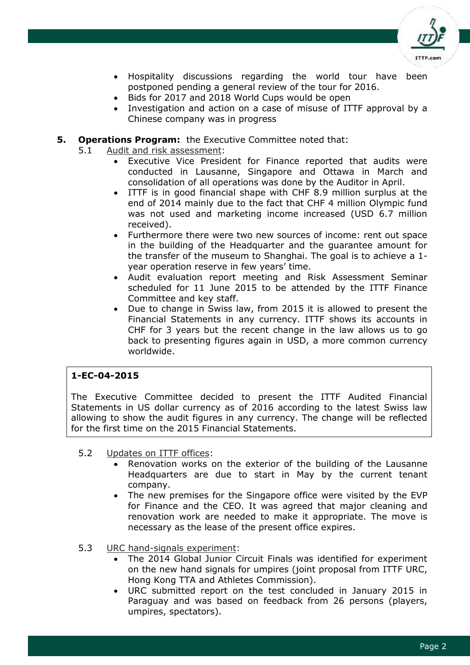

- Hospitality discussions regarding the world tour have been postponed pending a general review of the tour for 2016.
- Bids for 2017 and 2018 World Cups would be open
- Investigation and action on a case of misuse of ITTF approval by a Chinese company was in progress

#### **5. Operations Program:** the Executive Committee noted that:

- 5.1 Audit and risk assessment:
	- Executive Vice President for Finance reported that audits were conducted in Lausanne, Singapore and Ottawa in March and consolidation of all operations was done by the Auditor in April.
	- ITTF is in good financial shape with CHF 8.9 million surplus at the end of 2014 mainly due to the fact that CHF 4 million Olympic fund was not used and marketing income increased (USD 6.7 million received).
	- Furthermore there were two new sources of income: rent out space in the building of the Headquarter and the guarantee amount for the transfer of the museum to Shanghai. The goal is to achieve a 1 year operation reserve in few years' time.
	- Audit evaluation report meeting and Risk Assessment Seminar scheduled for 11 June 2015 to be attended by the ITTF Finance Committee and key staff.
	- Due to change in Swiss law, from 2015 it is allowed to present the Financial Statements in any currency. ITTF shows its accounts in CHF for 3 years but the recent change in the law allows us to go back to presenting figures again in USD, a more common currency worldwide.

## **1-EC-04-2015**

The Executive Committee decided to present the ITTF Audited Financial Statements in US dollar currency as of 2016 according to the latest Swiss law allowing to show the audit figures in any currency. The change will be reflected for the first time on the 2015 Financial Statements.

- 5.2 Updates on ITTF offices:
	- Renovation works on the exterior of the building of the Lausanne Headquarters are due to start in May by the current tenant company.
	- The new premises for the Singapore office were visited by the EVP for Finance and the CEO. It was agreed that major cleaning and renovation work are needed to make it appropriate. The move is necessary as the lease of the present office expires.
- 5.3 URC hand-signals experiment:
	- The 2014 Global Junior Circuit Finals was identified for experiment on the new hand signals for umpires (joint proposal from ITTF URC, Hong Kong TTA and Athletes Commission).
	- URC submitted report on the test concluded in January 2015 in Paraguay and was based on feedback from 26 persons (players, umpires, spectators).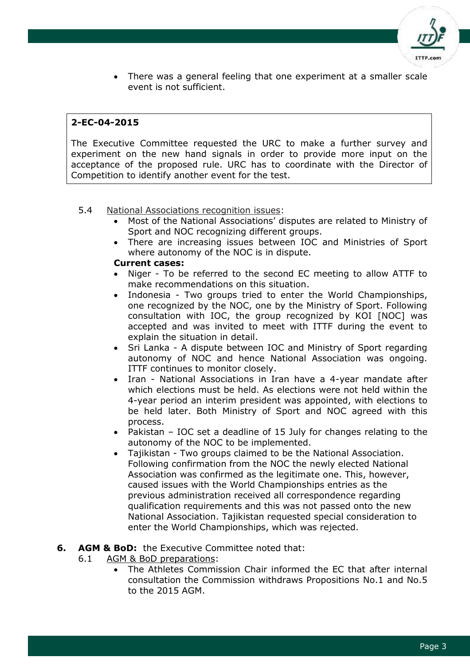

 There was a general feeling that one experiment at a smaller scale event is not sufficient.

## **2-EC-04-2015**

The Executive Committee requested the URC to make a further survey and experiment on the new hand signals in order to provide more input on the acceptance of the proposed rule. URC has to coordinate with the Director of Competition to identify another event for the test.

#### 5.4 National Associations recognition issues:

- Most of the National Associations' disputes are related to Ministry of Sport and NOC recognizing different groups.
- There are increasing issues between IOC and Ministries of Sport where autonomy of the NOC is in dispute.

#### **Current cases:**

- Niger To be referred to the second EC meeting to allow ATTF to make recommendations on this situation.
- Indonesia Two groups tried to enter the World Championships, one recognized by the NOC, one by the Ministry of Sport. Following consultation with IOC, the group recognized by KOI [NOC] was accepted and was invited to meet with ITTF during the event to explain the situation in detail.
- Sri Lanka A dispute between IOC and Ministry of Sport regarding autonomy of NOC and hence National Association was ongoing. ITTF continues to monitor closely.
- Iran National Associations in Iran have a 4-year mandate after which elections must be held. As elections were not held within the 4-year period an interim president was appointed, with elections to be held later. Both Ministry of Sport and NOC agreed with this process.
- Pakistan IOC set a deadline of 15 July for changes relating to the autonomy of the NOC to be implemented.
- Tajikistan Two groups claimed to be the National Association. Following confirmation from the NOC the newly elected National Association was confirmed as the legitimate one. This, however, caused issues with the World Championships entries as the previous administration received all correspondence regarding qualification requirements and this was not passed onto the new National Association. Tajikistan requested special consideration to enter the World Championships, which was rejected.

#### **6. AGM & BoD:** the Executive Committee noted that:

- 6.1 AGM & BoD preparations:
	- The Athletes Commission Chair informed the EC that after internal consultation the Commission withdraws Propositions No.1 and No.5 to the 2015 AGM.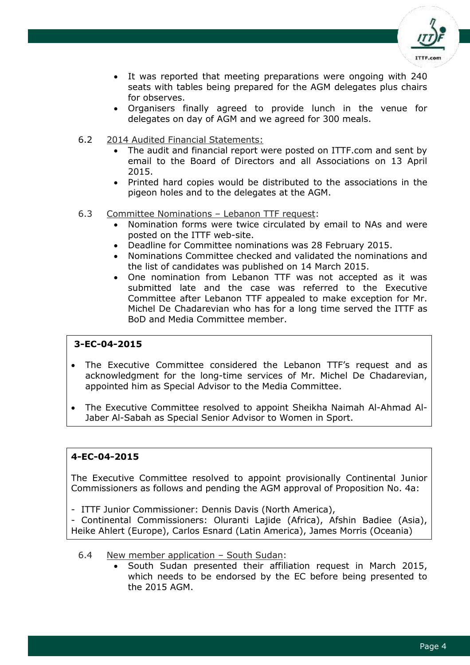

- It was reported that meeting preparations were ongoing with 240 seats with tables being prepared for the AGM delegates plus chairs for observes.
- Organisers finally agreed to provide lunch in the venue for delegates on day of AGM and we agreed for 300 meals.
- 6.2 2014 Audited Financial Statements:
	- The audit and financial report were posted on ITTF.com and sent by email to the Board of Directors and all Associations on 13 April 2015.
	- Printed hard copies would be distributed to the associations in the pigeon holes and to the delegates at the AGM.
- 6.3 Committee Nominations Lebanon TTF request:
	- Nomination forms were twice circulated by email to NAs and were posted on the ITTF web-site.
	- Deadline for Committee nominations was 28 February 2015.
	- Nominations Committee checked and validated the nominations and the list of candidates was published on 14 March 2015.
	- One nomination from Lebanon TTF was not accepted as it was submitted late and the case was referred to the Executive Committee after Lebanon TTF appealed to make exception for Mr. Michel De Chadarevian who has for a long time served the ITTF as BoD and Media Committee member.

- The Executive Committee considered the Lebanon TTF's request and as acknowledgment for the long-time services of Mr. Michel De Chadarevian, appointed him as Special Advisor to the Media Committee.
- The Executive Committee resolved to appoint Sheikha Naimah Al-Ahmad Al-Jaber Al-Sabah as Special Senior Advisor to Women in Sport.

## **4-EC-04-2015**

The Executive Committee resolved to appoint provisionally Continental Junior Commissioners as follows and pending the AGM approval of Proposition No. 4a:

- ITTF Junior Commissioner: Dennis Davis (North America),

- Continental Commissioners: Oluranti Lajide (Africa), Afshin Badiee (Asia), Heike Ahlert (Europe), Carlos Esnard (Latin America), James Morris (Oceania)

- 6.4 New member application South Sudan:
	- South Sudan presented their affiliation request in March 2015, which needs to be endorsed by the EC before being presented to the 2015 AGM.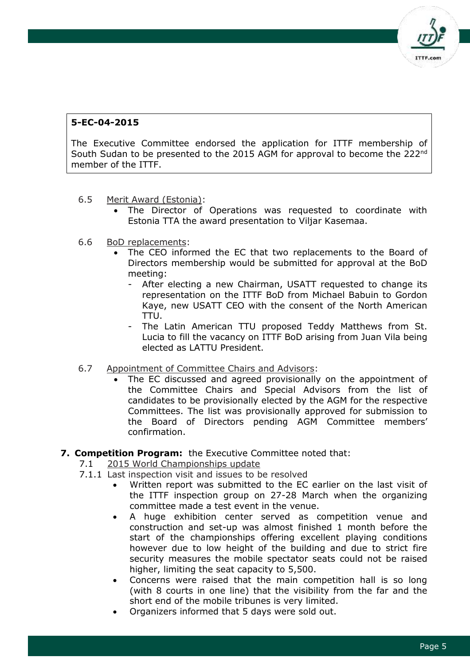

The Executive Committee endorsed the application for ITTF membership of South Sudan to be presented to the 2015 AGM for approval to become the 222nd member of the ITTF.

- 6.5 Merit Award (Estonia):
	- The Director of Operations was requested to coordinate with Estonia TTA the award presentation to Viljar Kasemaa.
- 6.6 BoD replacements:
	- The CEO informed the EC that two replacements to the Board of Directors membership would be submitted for approval at the BoD meeting:
		- After electing a new Chairman, USATT requested to change its representation on the ITTF BoD from Michael Babuin to Gordon Kaye, new USATT CEO with the consent of the North American TTU.
		- The Latin American TTU proposed Teddy Matthews from St. Lucia to fill the vacancy on ITTF BoD arising from Juan Vila being elected as LATTU President.
- 6.7 Appointment of Committee Chairs and Advisors:
	- The EC discussed and agreed provisionally on the appointment of the Committee Chairs and Special Advisors from the list of candidates to be provisionally elected by the AGM for the respective Committees. The list was provisionally approved for submission to the Board of Directors pending AGM Committee members' confirmation.

## **7. Competition Program:** the Executive Committee noted that:

- 7.1 2015 World Championships update
- 7.1.1 Last inspection visit and issues to be resolved
	- Written report was submitted to the EC earlier on the last visit of the ITTF inspection group on 27-28 March when the organizing committee made a test event in the venue.
	- A huge exhibition center served as competition venue and construction and set-up was almost finished 1 month before the start of the championships offering excellent playing conditions however due to low height of the building and due to strict fire security measures the mobile spectator seats could not be raised higher, limiting the seat capacity to 5,500.
	- Concerns were raised that the main competition hall is so long (with 8 courts in one line) that the visibility from the far and the short end of the mobile tribunes is very limited.
	- Organizers informed that 5 days were sold out.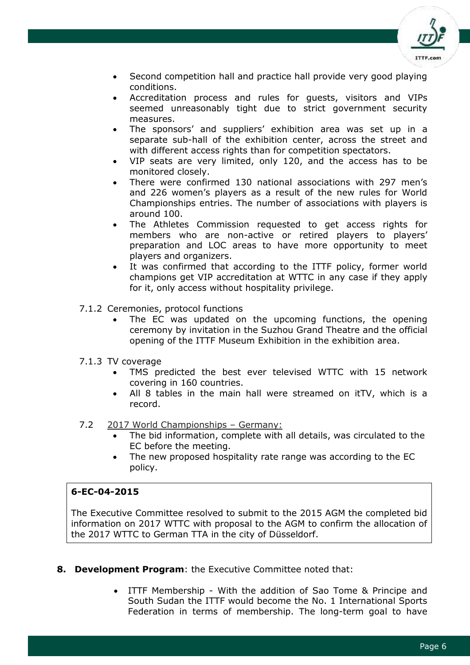

- Second competition hall and practice hall provide very good playing conditions.
- Accreditation process and rules for guests, visitors and VIPs seemed unreasonably tight due to strict government security measures.
- The sponsors' and suppliers' exhibition area was set up in a separate sub-hall of the exhibition center, across the street and with different access rights than for competition spectators.
- VIP seats are very limited, only 120, and the access has to be monitored closely.
- There were confirmed 130 national associations with 297 men's and 226 women's players as a result of the new rules for World Championships entries. The number of associations with players is around 100.
- The Athletes Commission requested to get access rights for members who are non-active or retired players to players' preparation and LOC areas to have more opportunity to meet players and organizers.
- It was confirmed that according to the ITTF policy, former world champions get VIP accreditation at WTTC in any case if they apply for it, only access without hospitality privilege.
- 7.1.2 Ceremonies, protocol functions
	- The EC was updated on the upcoming functions, the opening ceremony by invitation in the Suzhou Grand Theatre and the official opening of the ITTF Museum Exhibition in the exhibition area.
- 7.1.3 TV coverage
	- TMS predicted the best ever televised WTTC with 15 network covering in 160 countries.
	- All 8 tables in the main hall were streamed on itTV, which is a record.
- 7.2 2017 World Championships Germany:
	- The bid information, complete with all details, was circulated to the EC before the meeting.
	- The new proposed hospitality rate range was according to the EC policy.

The Executive Committee resolved to submit to the 2015 AGM the completed bid information on 2017 WTTC with proposal to the AGM to confirm the allocation of the 2017 WTTC to German TTA in the city of Düsseldorf.

- **8. Development Program**: the Executive Committee noted that:
	- ITTF Membership With the addition of Sao Tome & Principe and South Sudan the ITTF would become the No. 1 International Sports Federation in terms of membership. The long-term goal to have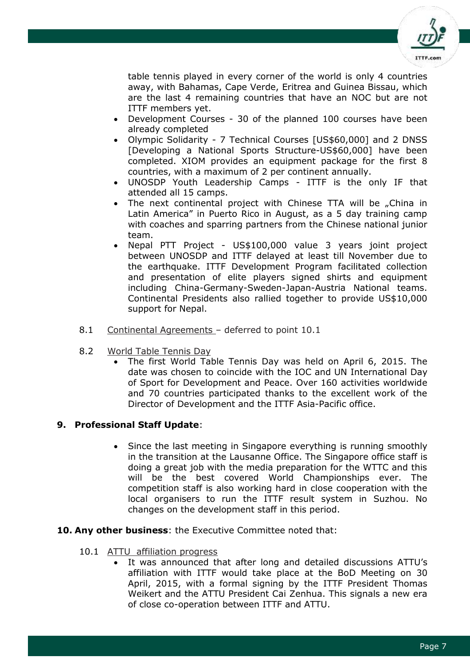

table tennis played in every corner of the world is only 4 countries away, with Bahamas, Cape Verde, Eritrea and Guinea Bissau, which are the last 4 remaining countries that have an NOC but are not ITTF members yet.

- Development Courses 30 of the planned 100 courses have been already completed
- Olympic Solidarity 7 Technical Courses [US\$60,000] and 2 DNSS [Developing a National Sports Structure-US\$60,000] have been completed. XIOM provides an equipment package for the first 8 countries, with a maximum of 2 per continent annually.
- UNOSDP Youth Leadership Camps ITTF is the only IF that attended all 15 camps.
- The next continental project with Chinese TTA will be "China in Latin America" in Puerto Rico in August, as a 5 day training camp with coaches and sparring partners from the Chinese national junior team.
- Nepal PTT Project US\$100,000 value 3 years joint project between UNOSDP and ITTF delayed at least till November due to the earthquake. ITTF Development Program facilitated collection and presentation of elite players signed shirts and equipment including China-Germany-Sweden-Japan-Austria National teams. Continental Presidents also rallied together to provide US\$10,000 support for Nepal.
- 8.1 Continental Agreements deferred to point 10.1
- 8.2 World Table Tennis Day
	- The first World Table Tennis Day was held on April 6, 2015. The date was chosen to coincide with the IOC and UN International Day of Sport for Development and Peace. Over 160 activities worldwide and 70 countries participated thanks to the excellent work of the Director of Development and the ITTF Asia-Pacific office.

## **9. Professional Staff Update**:

- Since the last meeting in Singapore everything is running smoothly in the transition at the Lausanne Office. The Singapore office staff is doing a great job with the media preparation for the WTTC and this will be the best covered World Championships ever. The competition staff is also working hard in close cooperation with the local organisers to run the ITTF result system in Suzhou. No changes on the development staff in this period.
- **10. Any other business**: the Executive Committee noted that:
	- 10.1 ATTU affiliation progress
		- It was announced that after long and detailed discussions ATTU's affiliation with ITTF would take place at the BoD Meeting on 30 April, 2015, with a formal signing by the ITTF President Thomas Weikert and the ATTU President Cai Zenhua. This signals a new era of close co-operation between ITTF and ATTU.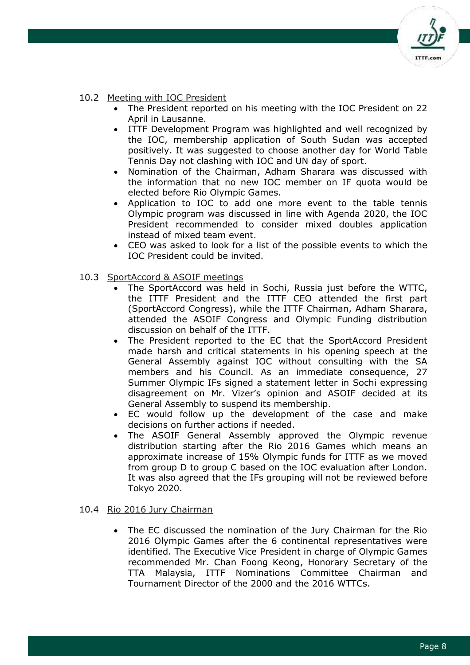

### 10.2 Meeting with IOC President

- The President reported on his meeting with the IOC President on 22 April in Lausanne.
- ITTF Development Program was highlighted and well recognized by the IOC, membership application of South Sudan was accepted positively. It was suggested to choose another day for World Table Tennis Day not clashing with IOC and UN day of sport.
- Nomination of the Chairman, Adham Sharara was discussed with the information that no new IOC member on IF quota would be elected before Rio Olympic Games.
- Application to IOC to add one more event to the table tennis Olympic program was discussed in line with Agenda 2020, the IOC President recommended to consider mixed doubles application instead of mixed team event.
- CEO was asked to look for a list of the possible events to which the IOC President could be invited.
- 10.3 SportAccord & ASOIF meetings
	- The SportAccord was held in Sochi, Russia just before the WTTC, the ITTF President and the ITTF CEO attended the first part (SportAccord Congress), while the ITTF Chairman, Adham Sharara, attended the ASOIF Congress and Olympic Funding distribution discussion on behalf of the ITTF.
	- The President reported to the EC that the SportAccord President made harsh and critical statements in his opening speech at the General Assembly against IOC without consulting with the SA members and his Council. As an immediate consequence, 27 Summer Olympic IFs signed a statement letter in Sochi expressing disagreement on Mr. Vizer's opinion and ASOIF decided at its General Assembly to suspend its membership.
	- EC would follow up the development of the case and make decisions on further actions if needed.
	- The ASOIF General Assembly approved the Olympic revenue distribution starting after the Rio 2016 Games which means an approximate increase of 15% Olympic funds for ITTF as we moved from group D to group C based on the IOC evaluation after London. It was also agreed that the IFs grouping will not be reviewed before Tokyo 2020.

#### 10.4 Rio 2016 Jury Chairman

 The EC discussed the nomination of the Jury Chairman for the Rio 2016 Olympic Games after the 6 continental representatives were identified. The Executive Vice President in charge of Olympic Games recommended Mr. Chan Foong Keong, Honorary Secretary of the TTA Malaysia, ITTF Nominations Committee Chairman and Tournament Director of the 2000 and the 2016 WTTCs.